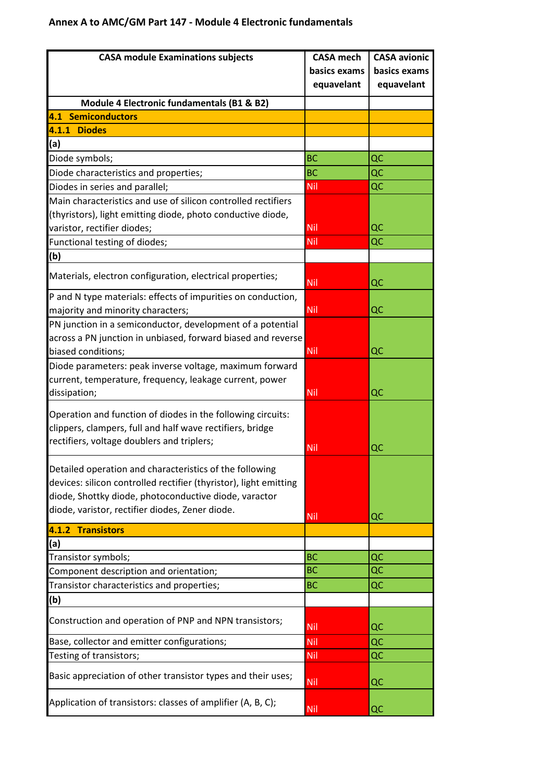## **Annex A to AMC/GM Part 147 - Module 4 Electronic fundamentals**

| <b>CASA module Examinations subjects</b>                                                                                 | <b>CASA mech</b> | <b>CASA avionic</b> |
|--------------------------------------------------------------------------------------------------------------------------|------------------|---------------------|
|                                                                                                                          | basics exams     | basics exams        |
|                                                                                                                          | equavelant       | equavelant          |
| Module 4 Electronic fundamentals (B1 & B2)                                                                               |                  |                     |
| <b>4.1 Semiconductors</b>                                                                                                |                  |                     |
| 4.1.1 Diodes                                                                                                             |                  |                     |
| (a)                                                                                                                      |                  |                     |
| Diode symbols;                                                                                                           | <b>BC</b>        | QC                  |
| Diode characteristics and properties;                                                                                    | <b>BC</b>        | QC                  |
| Diodes in series and parallel;                                                                                           | Nil              | QC                  |
| Main characteristics and use of silicon controlled rectifiers                                                            |                  |                     |
| (thyristors), light emitting diode, photo conductive diode,                                                              |                  |                     |
| varistor, rectifier diodes;                                                                                              | <b>Nil</b>       | QC                  |
| Functional testing of diodes;                                                                                            | Nil              | QC                  |
| (b)                                                                                                                      |                  |                     |
| Materials, electron configuration, electrical properties;                                                                | <b>Nil</b>       | QC                  |
| P and N type materials: effects of impurities on conduction,                                                             |                  |                     |
| majority and minority characters;                                                                                        | <b>Nil</b>       | QC                  |
| PN junction in a semiconductor, development of a potential                                                               |                  |                     |
| across a PN junction in unbiased, forward biased and reverse                                                             |                  |                     |
| biased conditions;                                                                                                       | <b>Nil</b>       | QC                  |
| Diode parameters: peak inverse voltage, maximum forward                                                                  |                  |                     |
| current, temperature, frequency, leakage current, power                                                                  |                  |                     |
| dissipation;                                                                                                             | Nil.             | QC                  |
|                                                                                                                          |                  |                     |
| Operation and function of diodes in the following circuits:<br>clippers, clampers, full and half wave rectifiers, bridge |                  |                     |
| rectifiers, voltage doublers and triplers;                                                                               |                  |                     |
|                                                                                                                          | <b>Nil</b>       | QC                  |
| Detailed operation and characteristics of the following                                                                  |                  |                     |
| devices: silicon controlled rectifier (thyristor), light emitting                                                        |                  |                     |
| diode, Shottky diode, photoconductive diode, varactor                                                                    |                  |                     |
| diode, varistor, rectifier diodes, Zener diode.                                                                          |                  |                     |
|                                                                                                                          | <b>Nil</b>       | QC                  |
| 4.1.2 Transistors<br>(a)                                                                                                 |                  |                     |
| Transistor symbols;                                                                                                      | <b>BC</b>        | QC                  |
| Component description and orientation;                                                                                   | <b>BC</b>        | QC                  |
| Transistor characteristics and properties;                                                                               | <b>BC</b>        | QC                  |
| (b)                                                                                                                      |                  |                     |
|                                                                                                                          |                  |                     |
| Construction and operation of PNP and NPN transistors;                                                                   | Nil              | QC                  |
| Base, collector and emitter configurations;                                                                              | Nil              | QC                  |
| Testing of transistors;                                                                                                  | Nil              | QC                  |
| Basic appreciation of other transistor types and their uses;                                                             | <b>Nil</b>       | QC                  |
| Application of transistors: classes of amplifier (A, B, C);                                                              | <b>Nil</b>       | QC                  |
|                                                                                                                          |                  |                     |